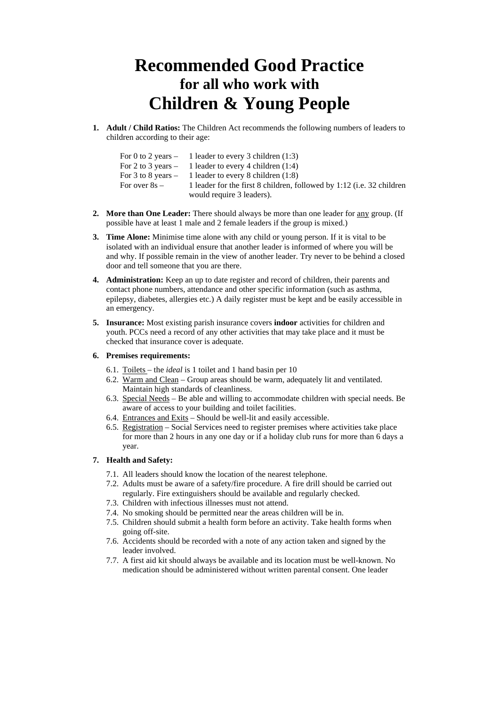# **Recommended Good Practice for all who work with Children & Young People**

**1. Adult / Child Ratios:** The Children Act recommends the following numbers of leaders to children according to their age:

|                 | For 0 to 2 years $-1$ leader to every 3 children (1:3)                        |
|-----------------|-------------------------------------------------------------------------------|
|                 | For 2 to 3 years $-1$ leader to every 4 children (1:4)                        |
|                 | For 3 to 8 years $-1$ leader to every 8 children (1:8)                        |
| For over $8s -$ | 1 leader for the first 8 children, followed by 1:12 ( <i>i.e.</i> 32 children |
|                 | would require 3 leaders).                                                     |

- **2. More than One Leader:** There should always be more than one leader for any group. (If possible have at least 1 male and 2 female leaders if the group is mixed.)
- **3. Time Alone:** Minimise time alone with any child or young person. If it is vital to be isolated with an individual ensure that another leader is informed of where you will be and why. If possible remain in the view of another leader. Try never to be behind a closed door and tell someone that you are there.
- **4. Administration:** Keep an up to date register and record of children, their parents and contact phone numbers, attendance and other specific information (such as asthma, epilepsy, diabetes, allergies etc.) A daily register must be kept and be easily accessible in an emergency.
- **5. Insurance:** Most existing parish insurance covers **indoor** activities for children and youth. PCCs need a record of any other activities that may take place and it must be checked that insurance cover is adequate.

## **6. Premises requirements:**

- 6.1. Toilets the *ideal* is 1 toilet and 1 hand basin per 10
- 6.2. Warm and Clean Group areas should be warm, adequately lit and ventilated. Maintain high standards of cleanliness.
- 6.3. Special Needs Be able and willing to accommodate children with special needs. Be aware of access to your building and toilet facilities.
- 6.4. Entrances and Exits Should be well-lit and easily accessible.
- 6.5. Registration Social Services need to register premises where activities take place for more than 2 hours in any one day or if a holiday club runs for more than 6 days a year.

## **7. Health and Safety:**

- 7.1. All leaders should know the location of the nearest telephone.
- 7.2. Adults must be aware of a safety/fire procedure. A fire drill should be carried out regularly. Fire extinguishers should be available and regularly checked.
- 7.3. Children with infectious illnesses must not attend.
- 7.4. No smoking should be permitted near the areas children will be in.
- 7.5. Children should submit a health form before an activity. Take health forms when going off-site.
- 7.6. Accidents should be recorded with a note of any action taken and signed by the leader involved.
- 7.7. A first aid kit should always be available and its location must be well-known. No medication should be administered without written parental consent. One leader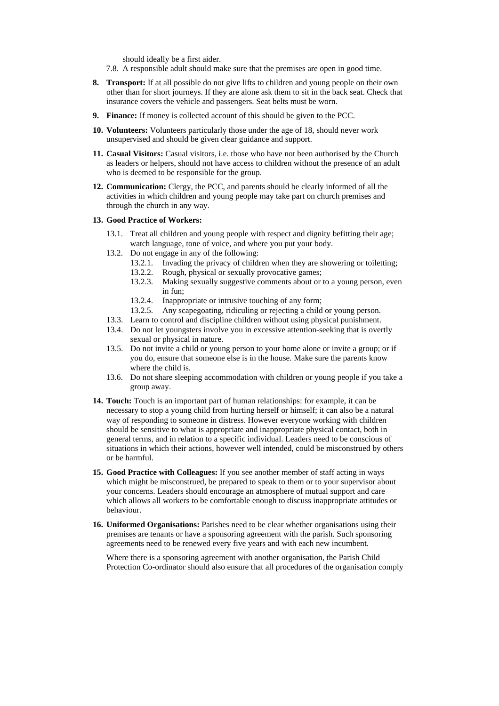should ideally be a first aider.

- 7.8. A responsible adult should make sure that the premises are open in good time.
- **8. Transport:** If at all possible do not give lifts to children and young people on their own other than for short journeys. If they are alone ask them to sit in the back seat. Check that insurance covers the vehicle and passengers. Seat belts must be worn.
- **9. Finance:** If money is collected account of this should be given to the PCC.
- **10. Volunteers:** Volunteers particularly those under the age of 18, should never work unsupervised and should be given clear guidance and support.
- **11. Casual Visitors:** Casual visitors, i.e. those who have not been authorised by the Church as leaders or helpers, should not have access to children without the presence of an adult who is deemed to be responsible for the group.
- **12. Communication:** Clergy, the PCC, and parents should be clearly informed of all the activities in which children and young people may take part on church premises and through the church in any way.

## **13. Good Practice of Workers:**

- 13.1. Treat all children and young people with respect and dignity befitting their age; watch language, tone of voice, and where you put your body.
- 13.2. Do not engage in any of the following:
	- 13.2.1. Invading the privacy of children when they are showering or toiletting;
	- 13.2.2. Rough, physical or sexually provocative games;
	- 13.2.3. Making sexually suggestive comments about or to a young person, even in fun;
	- 13.2.4. Inappropriate or intrusive touching of any form;
	- 13.2.5. Any scapegoating, ridiculing or rejecting a child or young person.
- 13.3. Learn to control and discipline children without using physical punishment.
- 13.4. Do not let youngsters involve you in excessive attention-seeking that is overtly sexual or physical in nature.
- 13.5. Do not invite a child or young person to your home alone or invite a group; or if you do, ensure that someone else is in the house. Make sure the parents know where the child is.
- 13.6. Do not share sleeping accommodation with children or young people if you take a group away.
- **14. Touch:** Touch is an important part of human relationships: for example, it can be necessary to stop a young child from hurting herself or himself; it can also be a natural way of responding to someone in distress. However everyone working with children should be sensitive to what is appropriate and inappropriate physical contact, both in general terms, and in relation to a specific individual. Leaders need to be conscious of situations in which their actions, however well intended, could be misconstrued by others or be harmful.
- **15. Good Practice with Colleagues:** If you see another member of staff acting in ways which might be misconstrued, be prepared to speak to them or to your supervisor about your concerns. Leaders should encourage an atmosphere of mutual support and care which allows all workers to be comfortable enough to discuss inappropriate attitudes or behaviour.
- **16. Uniformed Organisations:** Parishes need to be clear whether organisations using their premises are tenants or have a sponsoring agreement with the parish. Such sponsoring agreements need to be renewed every five years and with each new incumbent.

Where there is a sponsoring agreement with another organisation, the Parish Child Protection Co-ordinator should also ensure that all procedures of the organisation comply